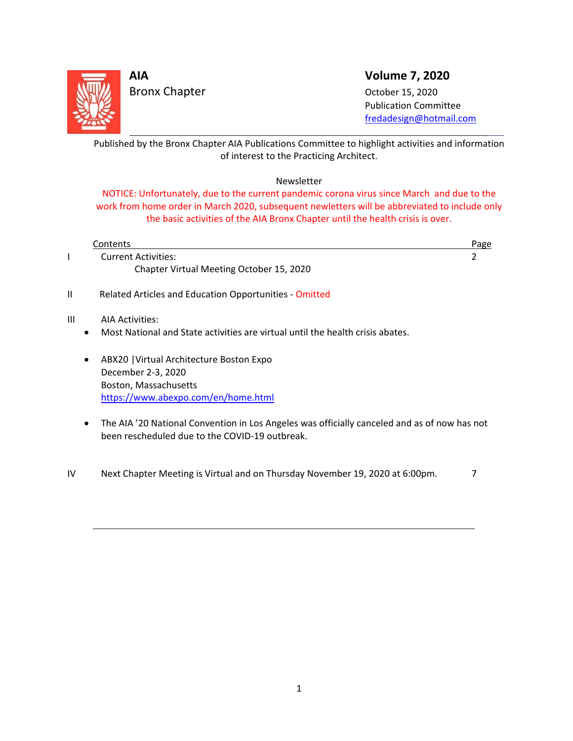

Bronx Chapter October 15, 2020

**AIA Volume 7, 2020**

 Publication Committee fredadesign@hotmail.com

<u> 1989 - Andrea Brasil, amerikan basar basa dan basa dan basa dan basa dan basa dan basa dan basa dan basa dan</u> Published by the Bronx Chapter AIA Publications Committee to highlight activities and information of interest to the Practicing Architect.

# Newsletter

NOTICE: Unfortunately, due to the current pandemic corona virus since March and due to the work from home order in March 2020, subsequent newletters will be abbreviated to include only the basic activities of the AIA Bronx Chapter until the health crisis is over.

| Contents                                                                       | Page |
|--------------------------------------------------------------------------------|------|
| <b>Current Activities:</b>                                                     |      |
| Chapter Virtual Meeting October 15, 2020                                       |      |
| Related Articles and Education Opportunities - Omitted                         |      |
| Ш<br>AIA Activities:                                                           |      |
| Most National and State activities are virtual until the health crisis abates. |      |
| ABX20   Virtual Architecture Boston Expo<br>$\bullet$                          |      |
| December 2-3, 2020                                                             |      |
| Boston, Massachusetts                                                          |      |
| https://www.abexpo.com/en/home.html                                            |      |

 The AIA '20 National Convention in Los Angeles was officially canceled and as of now has not been rescheduled due to the COVID‐19 outbreak. 

IV Next Chapter Meeting is Virtual and on Thursday November 19, 2020 at 6:00pm.  $\frac{7}{10}$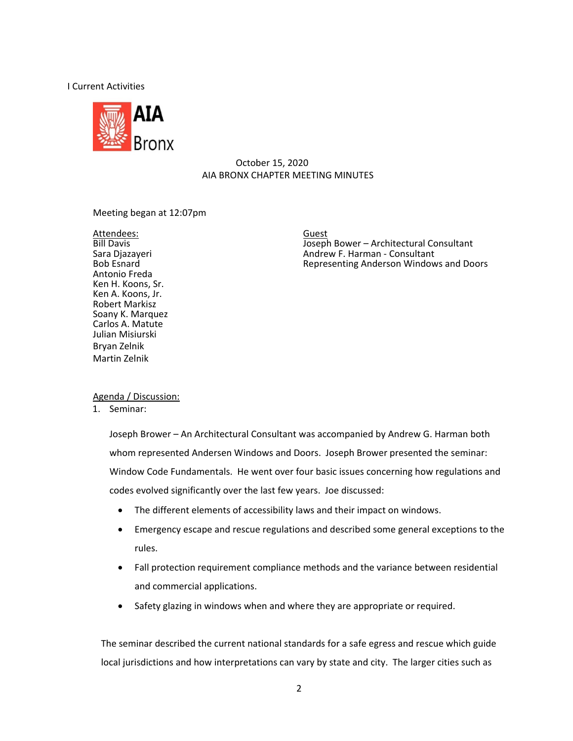## I Current Activities



# October 15, 2020 AIA BRONX CHAPTER MEETING MINUTES

## Meeting began at 12:07pm

Attendees: Guest Guest (Guest Attendees: Guest Attendees: Guest Attendees: Guest Attendees: Guest Attendees: Guest Attendees: Guest Attendees: Guest Attendees: Guest Attendees: Guest Attendees: Guest Attendees: Guest Atten Antonio Freda Ken H. Koons, Sr. Ken A. Koons, Jr. Robert Markisz Soany K. Marquez Carlos A. Matute Julian Misiurski Bryan Zelnik Martin Zelnik

Bill Davis **Internal Consultant** Joseph Bower – Architectural Consultant Sara Diazaveri<br>
Sara Diazaveri **Marchitectural Consultant** Andrew F. Harman - Consultant Sara Djazayeri Andrew F. Harman ‐ Consultant Representing Anderson Windows and Doors

# Agenda / Discussion:

1. Seminar:

Joseph Brower – An Architectural Consultant was accompanied by Andrew G. Harman both whom represented Andersen Windows and Doors. Joseph Brower presented the seminar: Window Code Fundamentals. He went over four basic issues concerning how regulations and codes evolved significantly over the last few years. Joe discussed:

- The different elements of accessibility laws and their impact on windows.
- Emergency escape and rescue regulations and described some general exceptions to the rules.
- Fall protection requirement compliance methods and the variance between residential and commercial applications.
- Safety glazing in windows when and where they are appropriate or required.

The seminar described the current national standards for a safe egress and rescue which guide local jurisdictions and how interpretations can vary by state and city. The larger cities such as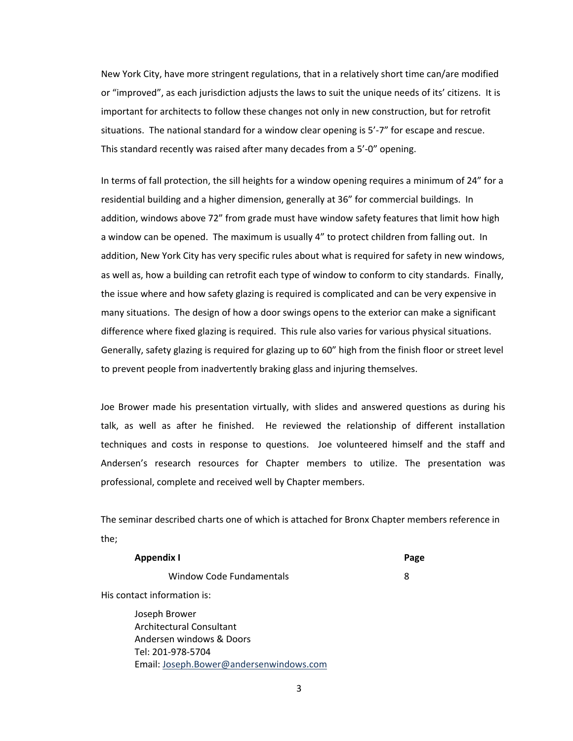New York City, have more stringent regulations, that in a relatively short time can/are modified or "improved", as each jurisdiction adjusts the laws to suit the unique needs of its' citizens. It is important for architects to follow these changes not only in new construction, but for retrofit situations. The national standard for a window clear opening is 5'-7" for escape and rescue. This standard recently was raised after many decades from a 5'‐0" opening.

In terms of fall protection, the sill heights for a window opening requires a minimum of 24" for a residential building and a higher dimension, generally at 36" for commercial buildings. In addition, windows above 72" from grade must have window safety features that limit how high a window can be opened. The maximum is usually 4" to protect children from falling out. In addition, New York City has very specific rules about what is required for safety in new windows, as well as, how a building can retrofit each type of window to conform to city standards. Finally, the issue where and how safety glazing is required is complicated and can be very expensive in many situations. The design of how a door swings opens to the exterior can make a significant difference where fixed glazing is required. This rule also varies for various physical situations. Generally, safety glazing is required for glazing up to 60" high from the finish floor or street level to prevent people from inadvertently braking glass and injuring themselves.

Joe Brower made his presentation virtually, with slides and answered questions as during his talk, as well as after he finished. He reviewed the relationship of different installation techniques and costs in response to questions. Joe volunteered himself and the staff and Andersen's research resources for Chapter members to utilize. The presentation was professional, complete and received well by Chapter members.

The seminar described charts one of which is attached for Bronx Chapter members reference in the;

| Appendix I                  | Page |
|-----------------------------|------|
| Window Code Fundamentals    | 8    |
| His contact information is: |      |
| Joseph Brower               |      |

Architectural Consultant Andersen windows & Doors Tel: 201‐978‐5704 Email: Joseph.Bower@andersenwindows.com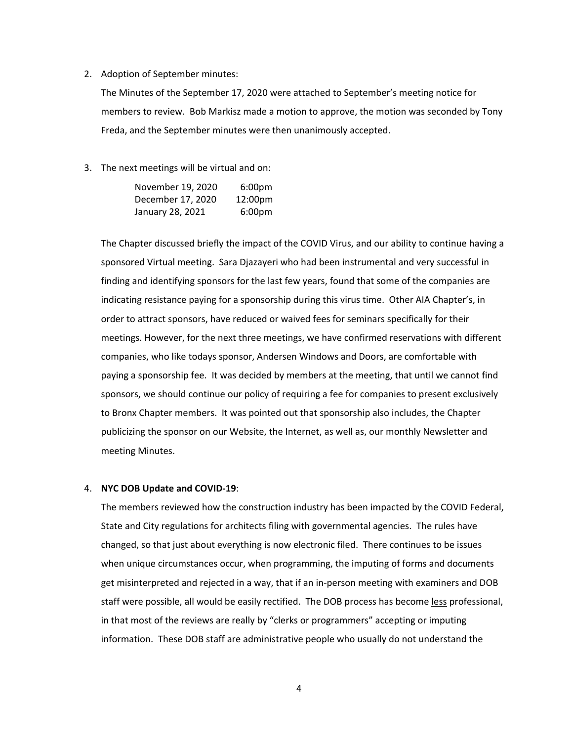#### 2. Adoption of September minutes:

The Minutes of the September 17, 2020 were attached to September's meeting notice for members to review. Bob Markisz made a motion to approve, the motion was seconded by Tony Freda, and the September minutes were then unanimously accepted.

3. The next meetings will be virtual and on:

| November 19, 2020 | 6:00 <sub>pm</sub>  |
|-------------------|---------------------|
| December 17, 2020 | 12:00 <sub>pm</sub> |
| January 28, 2021  | 6:00 <sub>pm</sub>  |

The Chapter discussed briefly the impact of the COVID Virus, and our ability to continue having a sponsored Virtual meeting. Sara Djazayeri who had been instrumental and very successful in finding and identifying sponsors for the last few years, found that some of the companies are indicating resistance paying for a sponsorship during this virus time. Other AIA Chapter's, in order to attract sponsors, have reduced or waived fees for seminars specifically for their meetings. However, for the next three meetings, we have confirmed reservations with different companies, who like todays sponsor, Andersen Windows and Doors, are comfortable with paying a sponsorship fee. It was decided by members at the meeting, that until we cannot find sponsors, we should continue our policy of requiring a fee for companies to present exclusively to Bronx Chapter members. It was pointed out that sponsorship also includes, the Chapter publicizing the sponsor on our Website, the Internet, as well as, our monthly Newsletter and meeting Minutes.

#### 4. **NYC DOB Update and COVID‐19**:

The members reviewed how the construction industry has been impacted by the COVID Federal, State and City regulations for architects filing with governmental agencies. The rules have changed, so that just about everything is now electronic filed. There continues to be issues when unique circumstances occur, when programming, the imputing of forms and documents get misinterpreted and rejected in a way, that if an in‐person meeting with examiners and DOB staff were possible, all would be easily rectified. The DOB process has become less professional, in that most of the reviews are really by "clerks or programmers" accepting or imputing information. These DOB staff are administrative people who usually do not understand the

4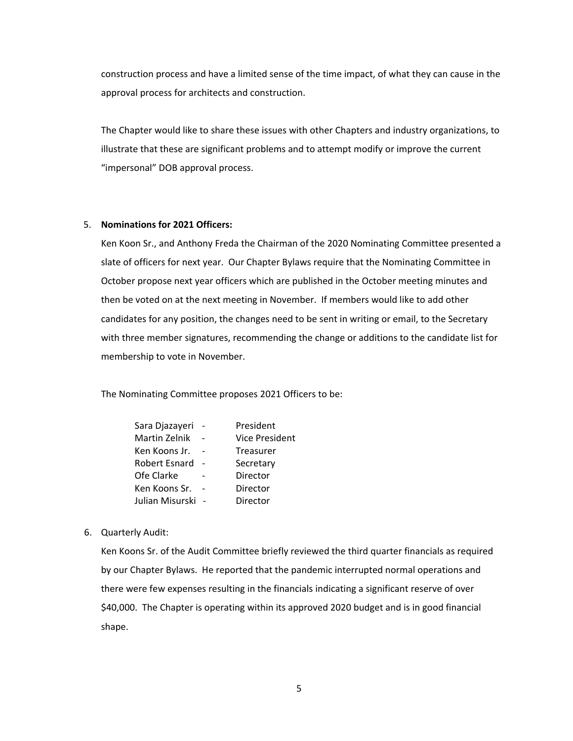construction process and have a limited sense of the time impact, of what they can cause in the approval process for architects and construction.

The Chapter would like to share these issues with other Chapters and industry organizations, to illustrate that these are significant problems and to attempt modify or improve the current "impersonal" DOB approval process.

#### 5. **Nominations for 2021 Officers:**

Ken Koon Sr., and Anthony Freda the Chairman of the 2020 Nominating Committee presented a slate of officers for next year. Our Chapter Bylaws require that the Nominating Committee in October propose next year officers which are published in the October meeting minutes and then be voted on at the next meeting in November. If members would like to add other candidates for any position, the changes need to be sent in writing or email, to the Secretary with three member signatures, recommending the change or additions to the candidate list for membership to vote in November.

The Nominating Committee proposes 2021 Officers to be:

| Sara Djazayeri  | President             |
|-----------------|-----------------------|
| Martin Zelnik   | <b>Vice President</b> |
| Ken Koons Jr.   | <b>Treasurer</b>      |
| Robert Esnard   | Secretary             |
| Ofe Clarke      | Director              |
| Ken Koons Sr.   | Director              |
| Julian Misurski | Director              |

#### 6. Quarterly Audit:

Ken Koons Sr. of the Audit Committee briefly reviewed the third quarter financials as required by our Chapter Bylaws. He reported that the pandemic interrupted normal operations and there were few expenses resulting in the financials indicating a significant reserve of over \$40,000. The Chapter is operating within its approved 2020 budget and is in good financial shape.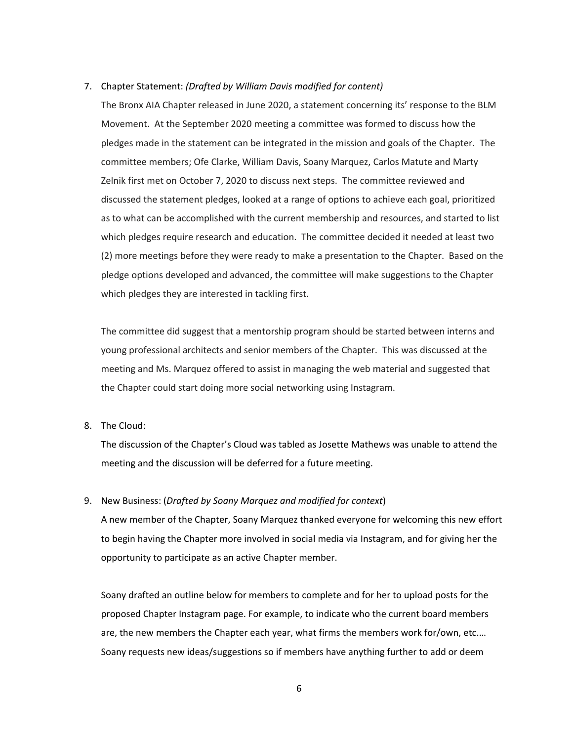## 7. Chapter Statement: *(Drafted by William Davis modified for content)*

The Bronx AIA Chapter released in June 2020, a statement concerning its' response to the BLM Movement. At the September 2020 meeting a committee was formed to discuss how the pledges made in the statement can be integrated in the mission and goals of the Chapter. The committee members; Ofe Clarke, William Davis, Soany Marquez, Carlos Matute and Marty Zelnik first met on October 7, 2020 to discuss next steps. The committee reviewed and discussed the statement pledges, looked at a range of options to achieve each goal, prioritized as to what can be accomplished with the current membership and resources, and started to list which pledges require research and education. The committee decided it needed at least two (2) more meetings before they were ready to make a presentation to the Chapter. Based on the pledge options developed and advanced, the committee will make suggestions to the Chapter which pledges they are interested in tackling first.

The committee did suggest that a mentorship program should be started between interns and young professional architects and senior members of the Chapter. This was discussed at the meeting and Ms. Marquez offered to assist in managing the web material and suggested that the Chapter could start doing more social networking using Instagram.

# 8. The Cloud:

The discussion of the Chapter's Cloud was tabled as Josette Mathews was unable to attend the meeting and the discussion will be deferred for a future meeting.

# 9. New Business: (*Drafted by Soany Marquez and modified for context*)

A new member of the Chapter, Soany Marquez thanked everyone for welcoming this new effort to begin having the Chapter more involved in social media via Instagram, and for giving her the opportunity to participate as an active Chapter member.

Soany drafted an outline below for members to complete and for her to upload posts for the proposed Chapter Instagram page. For example, to indicate who the current board members are, the new members the Chapter each year, what firms the members work for/own, etc.… Soany requests new ideas/suggestions so if members have anything further to add or deem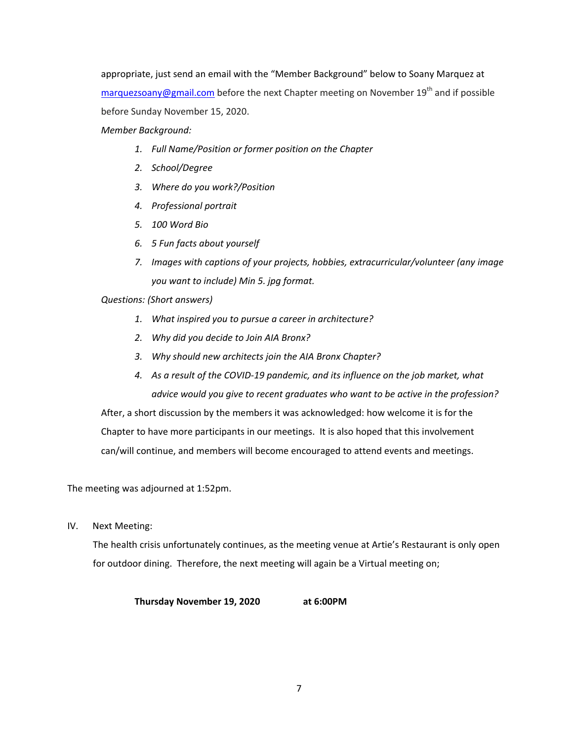appropriate, just send an email with the "Member Background" below to Soany Marquez at  $marguezsoany@gmail.com$  before the next Chapter meeting on November 19<sup>th</sup> and if possible before Sunday November 15, 2020.

*Member Background:*

- *1. Full Name/Position or former position on the Chapter*
- *2. School/Degree*
- *3. Where do you work?/Position*
- *4. Professional portrait*
- *5. 100 Word Bio*
- *6. 5 Fun facts about yourself*
- *7. Images with captions of your projects, hobbies, extracurricular/volunteer (any image you want to include) Min 5. jpg format.*

*Questions: (Short answers)*

- *1. What inspired you to pursue a career in architecture?*
- *2. Why did you decide to Join AIA Bronx?*
- *3. Why should new architects join the AIA Bronx Chapter?*
- *4. As a result of the COVID‐19 pandemic, and its influence on the job market, what advice would you give to recent graduates who want to be active in the profession?*

After, a short discussion by the members it was acknowledged: how welcome it is for the Chapter to have more participants in our meetings. It is also hoped that this involvement can/will continue, and members will become encouraged to attend events and meetings.

The meeting was adjourned at 1:52pm.

IV. Next Meeting:

The health crisis unfortunately continues, as the meeting venue at Artie's Restaurant is only open for outdoor dining. Therefore, the next meeting will again be a Virtual meeting on;

**Thursday November 19, 2020 at 6:00PM**

7